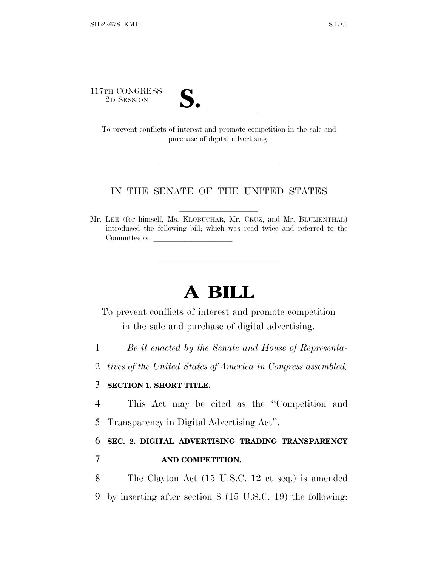117TH CONGRESS



TH CONGRESS<br>
2D SESSION<br>
To prevent conflicts of interest and promote competition in the sale and purchase of digital advertising.

## IN THE SENATE OF THE UNITED STATES

Mr. LEE (for himself, Ms. KLOBUCHAR, Mr. CRUZ, and Mr. BLUMENTHAL) introduced the following bill; which was read twice and referred to the Committee on

## **A BILL**

To prevent conflicts of interest and promote competition in the sale and purchase of digital advertising.

1 *Be it enacted by the Senate and House of Representa-*

2 *tives of the United States of America in Congress assembled,*

## 3 **SECTION 1. SHORT TITLE.**

4 This Act may be cited as the ''Competition and 5 Transparency in Digital Advertising Act''.

6 **SEC. 2. DIGITAL ADVERTISING TRADING TRANSPARENCY** 7 **AND COMPETITION.**

8 The Clayton Act (15 U.S.C. 12 et seq.) is amended 9 by inserting after section 8 (15 U.S.C. 19) the following: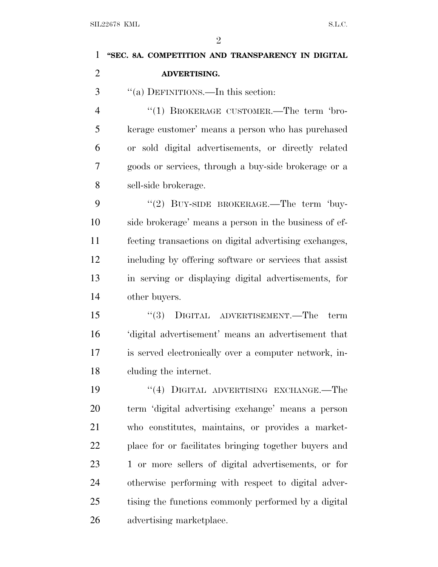## $\mathfrak{D}$ SIL22678 KML S.L.C. **''SEC. 8A. COMPETITION AND TRANSPARENCY IN DIGITAL ADVERTISING.** ''(a) DEFINITIONS.—In this section: 4 "(1) BROKERAGE CUSTOMER.—The term 'bro- kerage customer' means a person who has purchased or sold digital advertisements, or directly related goods or services, through a buy-side brokerage or a sell-side brokerage. 9 "(2) BUY-SIDE BROKERAGE.—The term 'buy- side brokerage' means a person in the business of ef- fecting transactions on digital advertising exchanges, including by offering software or services that assist in serving or displaying digital advertisements, for other buyers. ''(3) DIGITAL ADVERTISEMENT.—The term 'digital advertisement' means an advertisement that is served electronically over a computer network, in- cluding the internet. 19 "(4) DIGITAL ADVERTISING EXCHANGE.—The term 'digital advertising exchange' means a person who constitutes, maintains, or provides a market- place for or facilitates bringing together buyers and 1 or more sellers of digital advertisements, or for otherwise performing with respect to digital adver-

 tising the functions commonly performed by a digital advertising marketplace.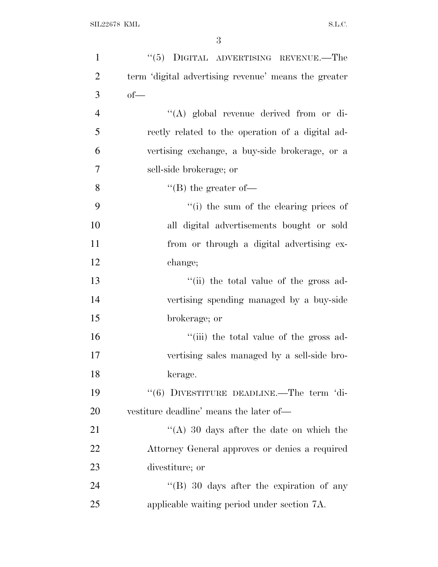| $\mathbf{1}$   | "(5) DIGITAL ADVERTISING REVENUE.—The                |
|----------------|------------------------------------------------------|
| $\overline{2}$ | term 'digital advertising revenue' means the greater |
| 3              | $of-$                                                |
| $\overline{4}$ | "(A) global revenue derived from or di-              |
| 5              | rectly related to the operation of a digital ad-     |
| 6              | vertising exchange, a buy-side brokerage, or a       |
| 7              | sell-side brokerage; or                              |
| 8              | $\lq\lq (B)$ the greater of-                         |
| 9              | "(i) the sum of the clearing prices of               |
| 10             | all digital advertisements bought or sold            |
| 11             | from or through a digital advertising ex-            |
| 12             | change;                                              |
| 13             | "(ii) the total value of the gross ad-               |
| 14             | vertising spending managed by a buy-side             |
| 15             | brokerage; or                                        |
| 16             | "(iii) the total value of the gross ad-              |
| 17             | vertising sales managed by a sell-side bro-          |
| 18             | kerage.                                              |
| 19             | $``(6)$ DIVESTITURE DEADLINE.—The term 'di-          |
| 20             | vestiture deadline' means the later of—              |
| 21             | "(A) 30 days after the date on which the             |
| 22             | Attorney General approves or denies a required       |
| 23             | divestiture; or                                      |
| 24             | $\lq\lq (B)$ 30 days after the expiration of any     |
| 25             | applicable waiting period under section 7A.          |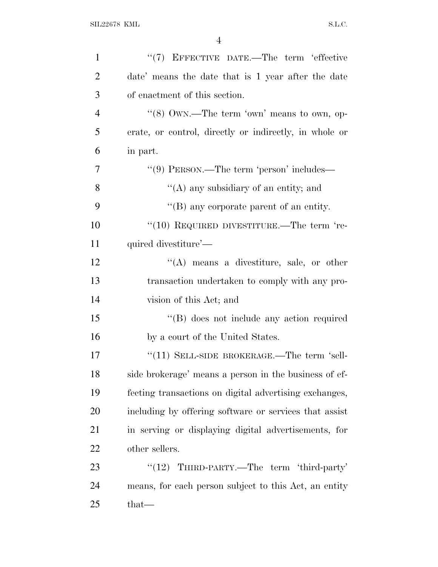| $\mathbf{1}$   | "(7) EFFECTIVE DATE.—The term 'effective               |
|----------------|--------------------------------------------------------|
| $\overline{2}$ | date' means the date that is 1 year after the date     |
| 3              | of enactment of this section.                          |
| $\overline{4}$ | " $(8)$ OWN.—The term 'own' means to own, op-          |
| 5              | erate, or control, directly or indirectly, in whole or |
| 6              | in part.                                               |
| 7              | $``(9)$ PERSON.—The term 'person' includes—            |
| 8              | "(A) any subsidiary of an entity; and                  |
| 9              | "(B) any corporate parent of an entity.                |
| 10             | $``(10)$ REQUIRED DIVESTITURE.—The term 're-           |
| 11             | quired divestiture'—                                   |
| 12             | $\lq\lq$ means a divestiture, sale, or other           |
| 13             | transaction undertaken to comply with any pro-         |
| 14             | vision of this Act; and                                |
| 15             | "(B) does not include any action required              |
| 16             | by a court of the United States.                       |
| 17             | $``(11)$ SELL-SIDE BROKERAGE.—The term 'sell-          |
| 18             | side brokerage' means a person in the business of ef-  |
| 19             | fecting transactions on digital advertising exchanges, |
| 20             | including by offering software or services that assist |
| 21             | in serving or displaying digital advertisements, for   |
| 22             | other sellers.                                         |
| 23             | THIRD-PARTY.—The term 'third-party'<br>(12)            |
| 24             | means, for each person subject to this Act, an entity  |
| 25             | that—                                                  |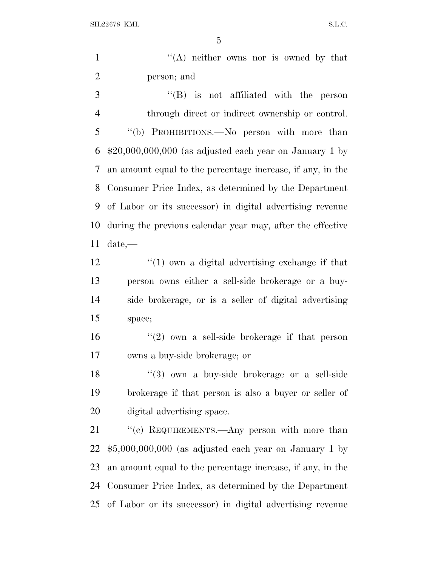SIL22678 KML S.L.C.

1 ''(A) neither owns nor is owned by that person; and

 ''(B) is not affiliated with the person through direct or indirect ownership or control. ''(b) PROHIBITIONS.—No person with more than \$20,000,000,000 (as adjusted each year on January 1 by an amount equal to the percentage increase, if any, in the Consumer Price Index, as determined by the Department of Labor or its successor) in digital advertising revenue during the previous calendar year may, after the effective date,—

 ''(1) own a digital advertising exchange if that person owns either a sell-side brokerage or a buy- side brokerage, or is a seller of digital advertising space;

16  $(2)$  own a sell-side brokerage if that person owns a buy-side brokerage; or

18 ''(3) own a buy-side brokerage or a sell-side brokerage if that person is also a buyer or seller of digital advertising space.

21 "(c) REQUIREMENTS.—Any person with more than \$5,000,000,000 (as adjusted each year on January 1 by an amount equal to the percentage increase, if any, in the Consumer Price Index, as determined by the Department of Labor or its successor) in digital advertising revenue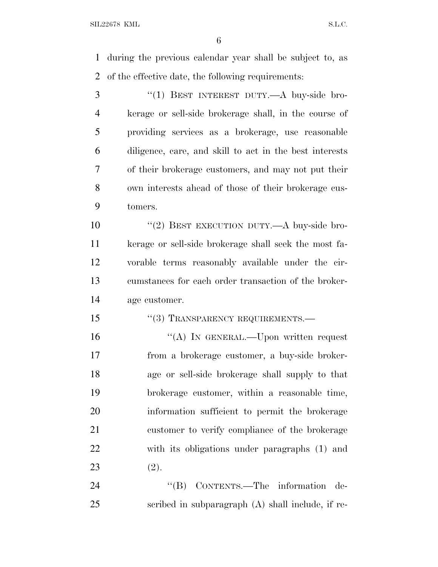during the previous calendar year shall be subject to, as of the effective date, the following requirements:

3 "(1) BEST INTEREST DUTY.—A buy-side bro- kerage or sell-side brokerage shall, in the course of providing services as a brokerage, use reasonable diligence, care, and skill to act in the best interests of their brokerage customers, and may not put their own interests ahead of those of their brokerage cus-tomers.

10 "(2) BEST EXECUTION DUTY.—A buy-side bro- kerage or sell-side brokerage shall seek the most fa- vorable terms reasonably available under the cir- cumstances for each order transaction of the broker-age customer.

15 "(3) TRANSPARENCY REQUIREMENTS.—

16 "(A) IN GENERAL.—Upon written request from a brokerage customer, a buy-side broker- age or sell-side brokerage shall supply to that brokerage customer, within a reasonable time, information sufficient to permit the brokerage customer to verify compliance of the brokerage with its obligations under paragraphs (1) and (2).

24 "(B) CONTENTS.—The information de-scribed in subparagraph (A) shall include, if re-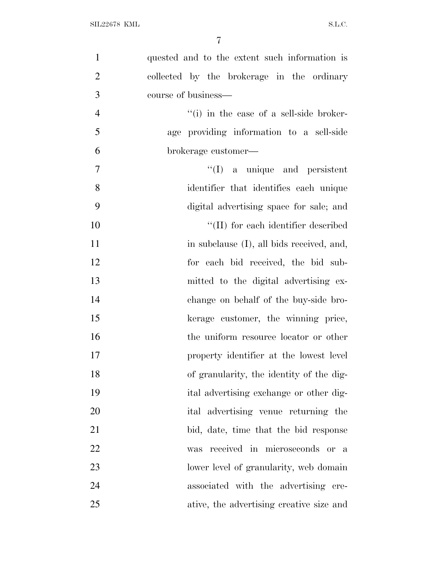| $\mathbf{1}$   | quested and to the extent such information is            |
|----------------|----------------------------------------------------------|
| $\overline{2}$ | collected by the brokerage in the ordinary               |
| 3              | course of business—                                      |
| $\overline{4}$ | $\lq$ <sup>"(i)</sup> in the case of a sell-side broker- |
| 5              | age providing information to a sell-side                 |
| 6              | brokerage customer—                                      |
| 7              | ``(I)<br>a unique and persistent                         |
| 8              | identifier that identifies each unique                   |
| 9              | digital advertising space for sale; and                  |
| 10             | "(II) for each identifier described                      |
| 11             | in subclause (I), all bids received, and,                |
| 12             | for each bid received, the bid sub-                      |
| 13             | mitted to the digital advertising ex-                    |
| 14             | change on behalf of the buy-side bro-                    |
| 15             | kerage customer, the winning price,                      |
| 16             | the uniform resource locator or other                    |
| 17             | property identifier at the lowest level                  |
| 18             | of granularity, the identity of the dig-                 |
| 19             | ital advertising exchange or other dig-                  |
| 20             | ital advertising venue returning the                     |
| 21             | bid, date, time that the bid response                    |
| 22             | received in microseconds or a<br>was                     |
| 23             | lower level of granularity, web domain                   |
| 24             | associated with the advertising cre-                     |
| 25             | ative, the advertising creative size and                 |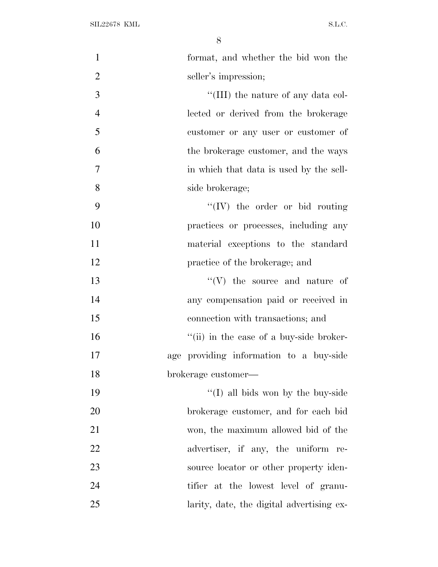| $\mathbf{1}$   | format, and whether the bid won the       |
|----------------|-------------------------------------------|
| $\overline{2}$ | seller's impression;                      |
| 3              | "(III) the nature of any data col-        |
| $\overline{4}$ | lected or derived from the brokerage      |
| 5              | customer or any user or customer of       |
| 6              | the brokerage customer, and the ways      |
| 7              | in which that data is used by the sell-   |
| 8              | side brokerage;                           |
| 9              | $\lq\lq (IV)$ the order or bid routing    |
| 10             | practices or processes, including any     |
| 11             | material exceptions to the standard       |
| 12             | practice of the brokerage; and            |
| 13             | $\lq\lq (V)$ the source and nature of     |
| 14             | any compensation paid or received in      |
| 15             | connection with transactions; and         |
| 16             | "(ii) in the case of a buy-side broker-   |
| 17             | age providing information to a buy-side   |
| 18             | brokerage customer-                       |
| 19             | $\lq\lq$ (I) all bids won by the buy-side |
| 20             | brokerage customer, and for each bid      |
| 21             | won, the maximum allowed bid of the       |
| 22             | advertiser, if any, the uniform re-       |
| 23             | source locator or other property iden-    |
| 24             | tifier at the lowest level of granu-      |
| 25             | larity, date, the digital advertising ex- |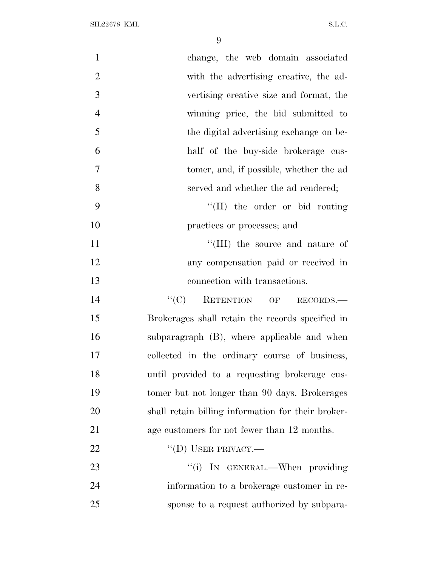| $\mathbf{1}$   | change, the web domain associated                  |
|----------------|----------------------------------------------------|
| $\mathbf{2}$   | with the advertising creative, the ad-             |
| 3              | vertising creative size and format, the            |
| $\overline{4}$ | winning price, the bid submitted to                |
| 5              | the digital advertising exchange on be-            |
| 6              | half of the buy-side brokerage cus-                |
| $\overline{7}$ | tomer, and, if possible, whether the ad            |
| 8              | served and whether the ad rendered;                |
| 9              | "(II) the order or bid routing                     |
| 10             | practices or processes; and                        |
| 11             | "(III) the source and nature of                    |
| 12             | any compensation paid or received in               |
| 13             | connection with transactions.                      |
| 14             | "(C) RETENTION OF RECORDS.—                        |
| 15             | Brokerages shall retain the records specified in   |
| 16             | subparagraph (B), where applicable and when        |
| 17             | collected in the ordinary course of business,      |
| 18             | until provided to a requesting brokerage cus-      |
| 19             | tomer but not longer than 90 days. Brokerages      |
| 20             | shall retain billing information for their broker- |
| 21             | age customers for not fewer than 12 months.        |
| 22             | $\lq\lq$ (D) USER PRIVACY.—                        |
| 23             | "(i) IN GENERAL.—When providing                    |
| 24             | information to a brokerage customer in re-         |
| 25             | sponse to a request authorized by subpara-         |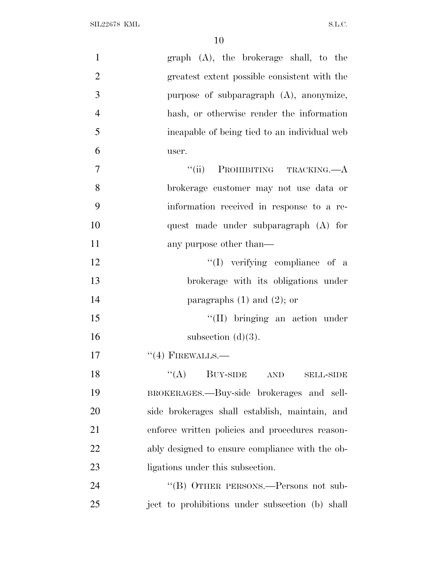| $\mathbf{1}$   | graph (A), the brokerage shall, to the          |
|----------------|-------------------------------------------------|
| $\overline{2}$ | greatest extent possible consistent with the    |
| 3              | purpose of subparagraph $(A)$ , anonymize,      |
| $\overline{4}$ | hash, or otherwise render the information       |
| 5              | incapable of being tied to an individual web    |
| 6              | user.                                           |
| $\overline{7}$ | PROHIBITING TRACKING.—A<br>``(ii)               |
| 8              | brokerage customer may not use data or          |
| 9              | information received in response to a re-       |
| 10             | quest made under subparagraph (A) for           |
| 11             | any purpose other than—                         |
| 12             | "(I) verifying compliance of a                  |
| 13             | brokerage with its obligations under            |
| 14             | paragraphs $(1)$ and $(2)$ ; or                 |
| 15             | $\lq\lq$ (II) bringing an action under          |
| 16             | subsection $(d)(3)$ .                           |
| 17             | $``(4)$ FIREWALLS.—                             |
| 18             | $\lq\lq (A)$ BUY-SIDE AND<br><b>SELL-SIDE</b>   |
| 19             | BROKERAGES.—Buy-side brokerages and sell-       |
| 20             | side brokerages shall establish, maintain, and  |
| 21             | enforce written policies and procedures reason- |
| 22             | ably designed to ensure compliance with the ob- |
| 23             | ligations under this subsection.                |
| 24             | "(B) OTHER PERSONS.—Persons not sub-            |
| 25             | ject to prohibitions under subsection (b) shall |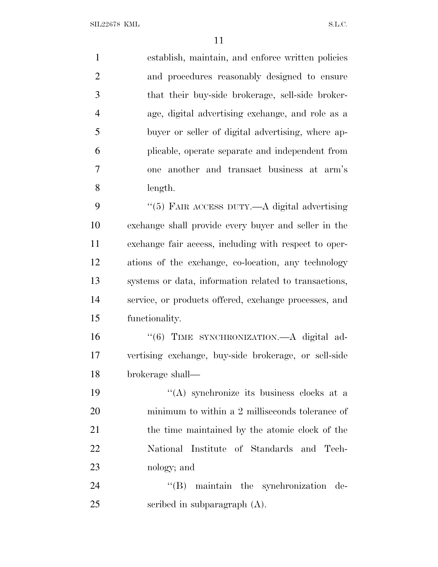establish, maintain, and enforce written policies and procedures reasonably designed to ensure that their buy-side brokerage, sell-side broker- age, digital advertising exchange, and role as a buyer or seller of digital advertising, where ap- plicable, operate separate and independent from one another and transact business at arm's length. 9 "(5) FAIR ACCESS DUTY.—A digital advertising exchange shall provide every buyer and seller in the exchange fair access, including with respect to oper- ations of the exchange, co-location, any technology systems or data, information related to transactions, service, or products offered, exchange processes, and functionality. 16 "(6) TIME SYNCHRONIZATION.—A digital ad- vertising exchange, buy-side brokerage, or sell-side brokerage shall—  $((A)$  synchronize its business clocks at a minimum to within a 2 milliseconds tolerance of

 the time maintained by the atomic clock of the National Institute of Standards and Tech-nology; and

24  $\text{``(B)}$  maintain the synchronization de-scribed in subparagraph (A).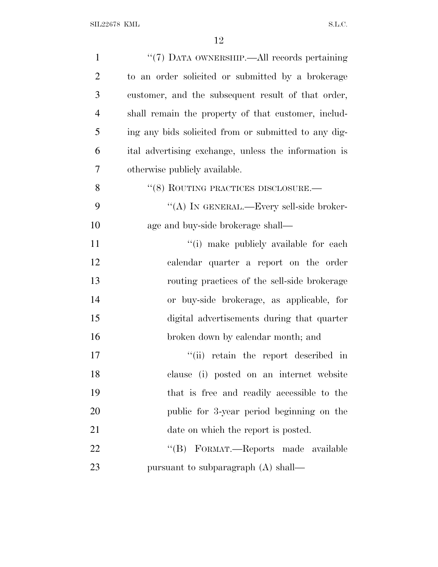| $\mathbf{1}$   | "(7) DATA OWNERSHIP.—All records pertaining          |
|----------------|------------------------------------------------------|
| $\overline{2}$ | to an order solicited or submitted by a brokerage    |
| 3              | customer, and the subsequent result of that order,   |
| $\overline{4}$ | shall remain the property of that customer, includ-  |
| 5              | ing any bids solicited from or submitted to any dig- |
| 6              | ital advertising exchange, unless the information is |
| 7              | otherwise publicly available.                        |
| 8              | "(8) ROUTING PRACTICES DISCLOSURE.-                  |
| 9              | "(A) IN GENERAL.—Every sell-side broker-             |
| 10             | age and buy-side brokerage shall—                    |
| 11             | "(i) make publicly available for each                |
| 12             | calendar quarter a report on the order               |
| 13             | routing practices of the sell-side brokerage         |
| 14             | or buy-side brokerage, as applicable, for            |
| 15             | digital advertisements during that quarter           |
| 16             | broken down by calendar month; and                   |
| 17             | retain the report described in<br>``(ii)             |
| 18             | clause (i) posted on an internet website             |
| 19             | that is free and readily accessible to the           |
| 20             | public for 3-year period beginning on the            |
| 21             | date on which the report is posted.                  |
| 22             | "(B) FORMAT.—Reports made available                  |
| 23             | pursuant to subparagraph (A) shall—                  |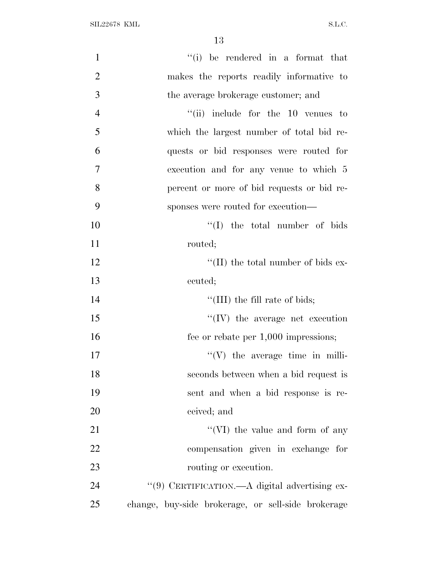| $\mathbf{1}$   | "(i) be rendered in a format that                  |
|----------------|----------------------------------------------------|
| $\overline{2}$ | makes the reports readily informative to           |
| 3              | the average brokerage customer; and                |
| $\overline{4}$ | $``(ii)$ include for the 10 venues to              |
| 5              | which the largest number of total bid re-          |
| 6              | quests or bid responses were routed for            |
| $\tau$         | execution and for any venue to which 5             |
| 8              | percent or more of bid requests or bid re-         |
| 9              | sponses were routed for execution—                 |
| 10             | $\lq\lq$ (I) the total number of bids              |
| 11             | routed;                                            |
| 12             | $\lq\lq$ (II) the total number of bids ex-         |
| 13             | ecuted;                                            |
| 14             | "(III) the fill rate of bids;                      |
| 15             | $\lq\lq$ (IV) the average net execution            |
| 16             | fee or rebate per 1,000 impressions;               |
| 17             | $\lq\lq (V)$ the average time in milli-            |
| 18             | seconds between when a bid request is              |
| 19             | sent and when a bid response is re-                |
| 20             | ceived; and                                        |
| 21             | "(VI) the value and form of any                    |
| 22             | compensation given in exchange for                 |
| 23             | routing or execution.                              |
| 24             | "(9) CERTIFICATION.—A digital advertising ex-      |
| 25             | change, buy-side brokerage, or sell-side brokerage |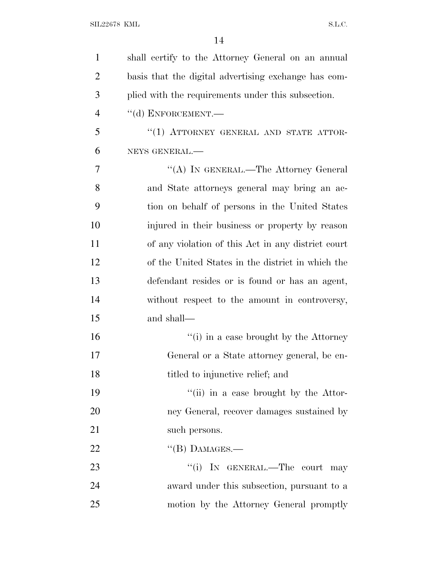| $\mathbf{1}$   | shall certify to the Attorney General on an annual   |
|----------------|------------------------------------------------------|
| $\overline{2}$ | basis that the digital advertising exchange has com- |
| 3              | plied with the requirements under this subsection.   |
| $\overline{4}$ | $``$ (d) ENFORCEMENT.—                               |
| 5              | "(1) ATTORNEY GENERAL AND STATE ATTOR-               |
| 6              | NEYS GENERAL.-                                       |
| 7              | "(A) IN GENERAL.—The Attorney General                |
| 8              | and State attorneys general may bring an ac-         |
| 9              | tion on behalf of persons in the United States       |
| 10             | injured in their business or property by reason      |
| 11             | of any violation of this Act in any district court   |
| 12             | of the United States in the district in which the    |
| 13             | defendant resides or is found or has an agent,       |
| 14             | without respect to the amount in controversy,        |
| 15             | and shall—                                           |
| 16             | "(i) in a case brought by the Attorney               |
| 17             | General or a State attorney general, be en-          |
| 18             | titled to injunctive relief; and                     |
| 19             | "(ii) in a case brought by the Attor-                |
| 20             | ney General, recover damages sustained by            |
| 21             | such persons.                                        |
| 22             | $\lq$ (B) DAMAGES.-                                  |
| 23             | "(i) IN GENERAL.—The court may                       |
| 24             | award under this subsection, pursuant to a           |
| 25             | motion by the Attorney General promptly              |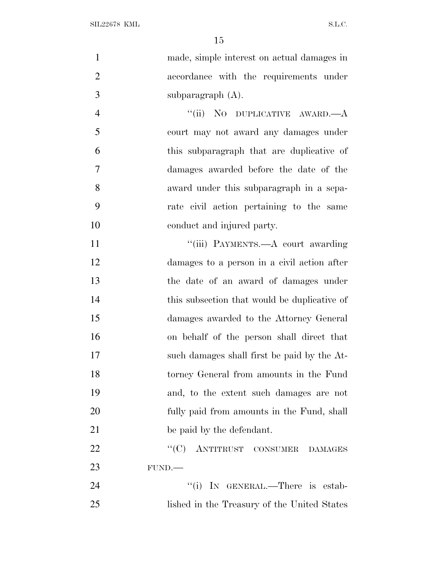| made, simple interest on actual damages in    | $\mathbf{1}$   |
|-----------------------------------------------|----------------|
| accordance with the requirements under        | $\overline{2}$ |
| subparagraph $(A)$ .                          | 3              |
| "(ii) NO DUPLICATIVE AWARD.—A                 | $\overline{4}$ |
| court may not award any damages under         | 5              |
| this subparagraph that are duplicative of     | 6              |
| damages awarded before the date of the        | 7              |
| award under this subparagraph in a sepa-      | 8              |
| rate civil action pertaining to the same      | 9              |
| conduct and injured party.                    | 10             |
| "(iii) PAYMENTS.—A court awarding             | 11             |
| damages to a person in a civil action after   | 12             |
| the date of an award of damages under         | 13             |
| this subsection that would be duplicative of  | 14             |
| damages awarded to the Attorney General       | 15             |
| on behalf of the person shall direct that     | 16             |
| such damages shall first be paid by the At-   | 17             |
| torney General from amounts in the Fund       | 18             |
| and, to the extent such damages are not       | 19             |
| fully paid from amounts in the Fund, shall    | 20             |
| be paid by the defendant.                     | 21             |
| ``(C)<br>ANTITRUST CONSUMER<br><b>DAMAGES</b> | 22             |
| FUND.                                         | 23             |
| "(i) IN GENERAL.—There is estab-              | 24             |
| lished in the Treasury of the United States   | 25             |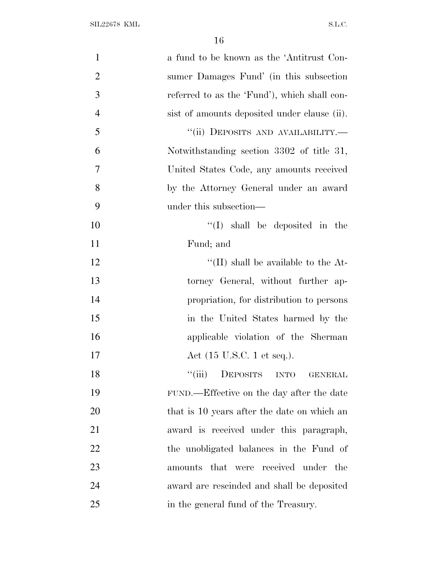| $\mathbf{1}$   | a fund to be known as the 'Antitrust Con-    |
|----------------|----------------------------------------------|
| $\overline{2}$ | sumer Damages Fund' (in this subsection      |
| 3              | referred to as the 'Fund'), which shall con- |
| $\overline{4}$ | sist of amounts deposited under clause (ii). |
| 5              | "(ii) DEPOSITS AND AVAILABILITY.-            |
| 6              | Notwithstanding section 3302 of title 31,    |
| $\overline{7}$ | United States Code, any amounts received     |
| 8              | by the Attorney General under an award       |
| 9              | under this subsection—                       |
| 10             | $\lq\lq$ (I) shall be deposited in the       |
| 11             | Fund; and                                    |
| 12             | "(II) shall be available to the $At-$        |
| 13             | torney General, without further ap-          |
| 14             | propriation, for distribution to persons     |
| 15             | in the United States harmed by the           |
| 16             | applicable violation of the Sherman          |
| 17             | Act $(15 \text{ U.S.C. 1 et seq.}).$         |
| 18             | DEPOSITS INTO<br>``(iii)<br>GENERAL          |
| 19             | FUND.—Effective on the day after the date    |
| 20             | that is 10 years after the date on which an  |
| 21             | award is received under this paragraph,      |
| 22             | the unobligated balances in the Fund of      |
| 23             | amounts that were received under the         |
| 24             | award are rescinded and shall be deposited   |
| 25             | in the general fund of the Treasury.         |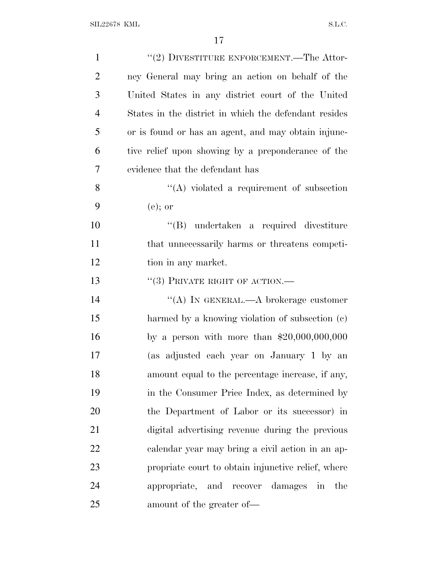| $\mathbf{1}$   | $``(2)$ DIVESTITURE ENFORCEMENT.—The Attor-                       |
|----------------|-------------------------------------------------------------------|
| $\overline{2}$ | ney General may bring an action on behalf of the                  |
| 3              | United States in any district court of the United                 |
| $\overline{4}$ | States in the district in which the defendant resides             |
| 5              | or is found or has an agent, and may obtain injune-               |
| 6              | tive relief upon showing by a preponderance of the                |
| 7              | evidence that the defendant has                                   |
| 8              | "(A) violated a requirement of subsection                         |
| 9              | $(e)$ ; or                                                        |
| 10             | $\lq\lq (B)$ undertaken a required divestiture                    |
| 11             | that unnecessarily harms or threatens competi-                    |
| 12             | tion in any market.                                               |
| 13             | $``(3)$ PRIVATE RIGHT OF ACTION.—                                 |
| 14             | "(A) IN GENERAL.—A brokerage customer                             |
| 15             | harmed by a knowing violation of subsection (c)                   |
| 16             | by a person with more than $$20,000,000,000$                      |
| 17             | (as adjusted each year on January 1 by an                         |
| 18             | amount equal to the percentage increase, if any,                  |
| 19             | in the Consumer Price Index, as determined by                     |
| 20             | the Department of Labor or its successor) in                      |
| 21             | digital advertising revenue during the previous                   |
| 22             | calendar year may bring a civil action in an ap-                  |
| 23             | propriate court to obtain injunctive relief, where                |
| 24             | appropriate, and recover damages<br>the<br>$\overline{\text{in}}$ |
| 25             | amount of the greater of-                                         |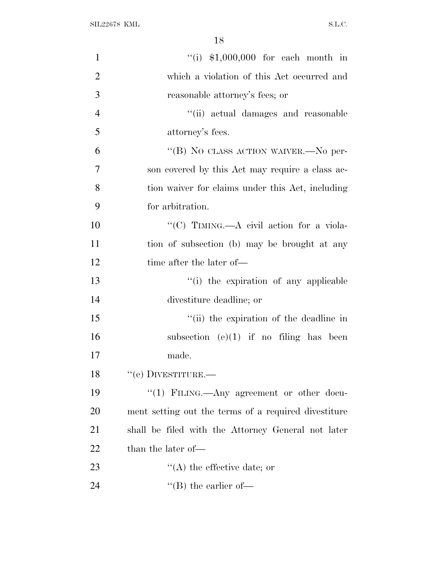| $\mathbf{1}$   | "(i) $$1,000,000$ for each month in                  |
|----------------|------------------------------------------------------|
| $\overline{2}$ | which a violation of this Act occurred and           |
| 3              | reasonable attorney's fees; or                       |
| $\overline{4}$ | "(ii) actual damages and reasonable                  |
| 5              | attorney's fees.                                     |
| 6              | "(B) NO CLASS ACTION WAIVER.- No per-                |
| $\overline{7}$ | son covered by this Act may require a class ac-      |
| 8              | tion waiver for claims under this Act, including     |
| 9              | for arbitration.                                     |
| 10             | "(C) TIMING.—A civil action for a viola-             |
| 11             | tion of subsection (b) may be brought at any         |
| 12             | time after the later of—                             |
| 13             | "(i) the expiration of any applicable                |
| 14             | divestiture deadline; or                             |
| 15             | "(ii) the expiration of the deadline in              |
| 16             | subsection $(e)(1)$ if no filing has been            |
| 17             | made.                                                |
| 18             | $``$ (e) DIVESTITURE.—                               |
| 19             | "(1) FILING.—Any agreement or other docu-            |
| 20             | ment setting out the terms of a required divestiture |
| 21             | shall be filed with the Attorney General not later   |
| 22             | than the later of—                                   |
| 23             | $\lq\lq$ the effective date; or                      |
| 24             | $\lq\lq$ (B) the earlier of —                        |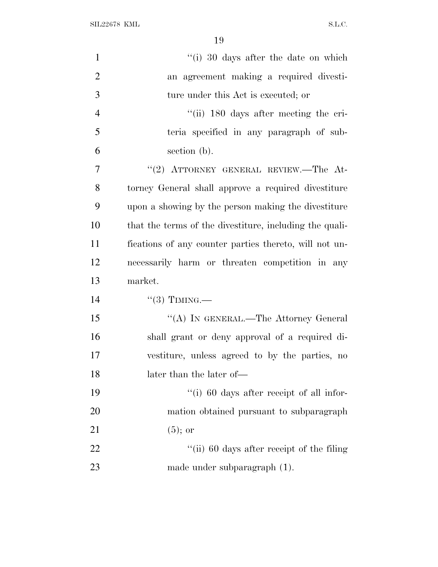SIL22678 KML S.L.C.

| $\mathbf{1}$   | "(i) 30 days after the date on which                    |
|----------------|---------------------------------------------------------|
| $\overline{2}$ | an agreement making a required divesti-                 |
| 3              | ture under this Act is executed; or                     |
| $\overline{4}$ | "(ii) 180 days after meeting the cri-                   |
| 5              | teria specified in any paragraph of sub-                |
| 6              | section (b).                                            |
| 7              | "(2) ATTORNEY GENERAL REVIEW.-The At-                   |
| 8              | torney General shall approve a required divestiture     |
| 9              | upon a showing by the person making the divestiture     |
| 10             | that the terms of the divestiture, including the quali- |
| 11             | fications of any counter parties thereto, will not un-  |
| 12             | necessarily harm or threaten competition in any         |
| 13             | market.                                                 |
| 14             | $``(3)$ TIMING.—                                        |
| 15             | "(A) IN GENERAL.—The Attorney General                   |
| 16             | shall grant or deny approval of a required di-          |
| 17             | vestiture, unless agreed to by the parties, no          |
| 18             | later than the later of—                                |
| 19             | "(i) 60 days after receipt of all infor-                |
| 20             | mation obtained pursuant to subparagraph                |
| 21             | $(5)$ ; or                                              |
| 22             | "(ii) 60 days after receipt of the filing               |
| 23             | made under subparagraph (1).                            |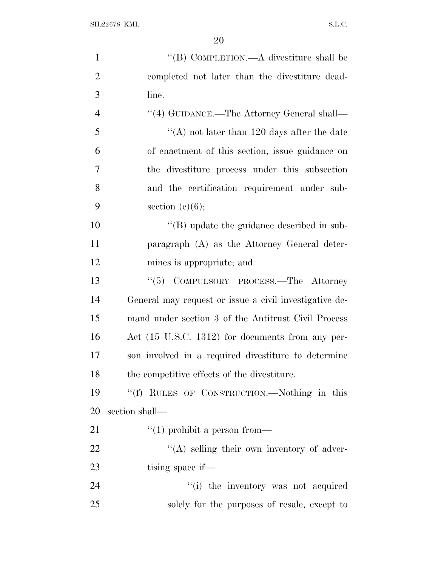SIL22678 KML S.L.C.

| $\mathbf{1}$   | "(B) COMPLETION.—A divestiture shall be                |
|----------------|--------------------------------------------------------|
| $\overline{2}$ | completed not later than the divestiture dead-         |
| 3              | line.                                                  |
| $\overline{4}$ | "(4) GUIDANCE.—The Attorney General shall—             |
| 5              | "(A) not later than 120 days after the date            |
| 6              | of enactment of this section, issue guidance on        |
| 7              | the divestiture process under this subsection          |
| 8              | and the certification requirement under sub-           |
| 9              | section $(c)(6);$                                      |
| 10             | $\lq\lq$ update the guidance described in sub-         |
| 11             | paragraph (A) as the Attorney General deter-           |
| 12             | mines is appropriate; and                              |
| 13             | COMPULSORY PROCESS.—The Attorney<br>``(5)              |
| 14             | General may request or issue a civil investigative de- |
| 15             | mand under section 3 of the Antitrust Civil Process    |
| 16             | Act (15 U.S.C. 1312) for documents from any per-       |
| 17             | son involved in a required divestiture to determine    |
| 18             | the competitive effects of the divestiture.            |
| 19             | "(f) RULES OF CONSTRUCTION.—Nothing in this            |
| 20             | section shall—                                         |
| 21             | $\lq(1)$ prohibit a person from—                       |
| 22             | $\lq\lq$ selling their own inventory of adver-         |
| 23             | tising space if—                                       |
| 24             | "(i) the inventory was not acquired                    |
| 25             | solely for the purposes of resale, except to           |